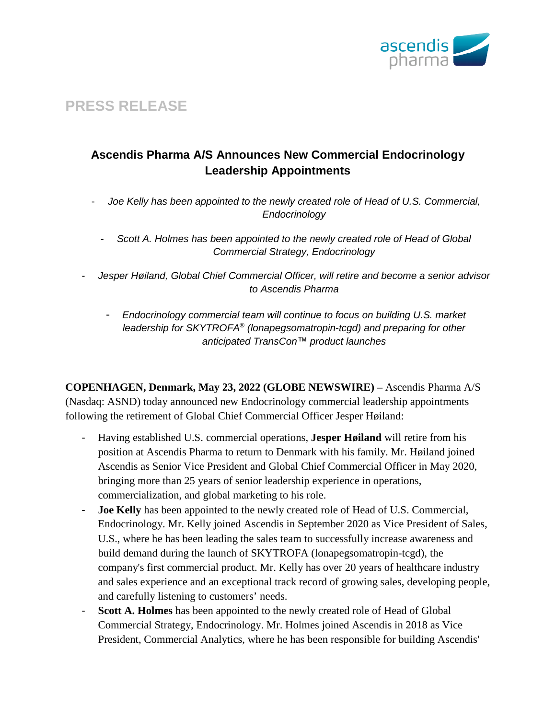

# **PRESS RELEASE**

## **Ascendis Pharma A/S Announces New Commercial Endocrinology Leadership Appointments**

- *Joe Kelly has been appointed to the newly created role of Head of U.S. Commercial, Endocrinology*
	- *Scott A. Holmes has been appointed to the newly created role of Head of Global Commercial Strategy, Endocrinology*
- *Jesper Høiland, Global Chief Commercial Officer, will retire and become a senior advisor to Ascendis Pharma*
	- *Endocrinology commercial team will continue to focus on building U.S. market leadership for SKYTROFA® (lonapegsomatropin-tcgd) and preparing for other anticipated TransCon™ product launches*

**COPENHAGEN, Denmark, May 23, 2022 (GLOBE NEWSWIRE) –** Ascendis Pharma A/S (Nasdaq: ASND) today announced new Endocrinology commercial leadership appointments following the retirement of Global Chief Commercial Officer Jesper Høiland:

- Having established U.S. commercial operations, **Jesper Høiland** will retire from his position at Ascendis Pharma to return to Denmark with his family. Mr. Høiland joined Ascendis as Senior Vice President and Global Chief Commercial Officer in May 2020, bringing more than 25 years of senior leadership experience in operations, commercialization, and global marketing to his role.
- **Joe Kelly** has been appointed to the newly created role of Head of U.S. Commercial, Endocrinology. Mr. Kelly joined Ascendis in September 2020 as Vice President of Sales, U.S., where he has been leading the sales team to successfully increase awareness and build demand during the launch of SKYTROFA (lonapegsomatropin-tcgd), the company's first commercial product. Mr. Kelly has over 20 years of healthcare industry and sales experience and an exceptional track record of growing sales, developing people, and carefully listening to customers' needs.
- **Scott A. Holmes** has been appointed to the newly created role of Head of Global Commercial Strategy, Endocrinology. Mr. Holmes joined Ascendis in 2018 as Vice President, Commercial Analytics, where he has been responsible for building Ascendis'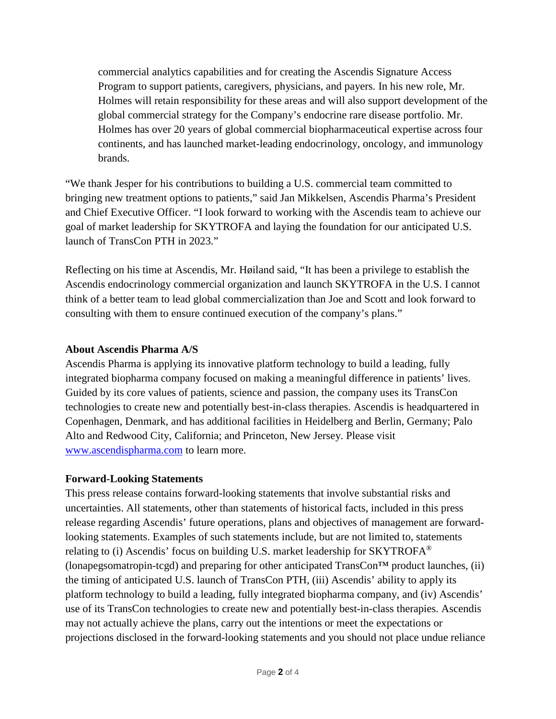commercial analytics capabilities and for creating the Ascendis Signature Access Program to support patients, caregivers, physicians, and payers. In his new role, Mr. Holmes will retain responsibility for these areas and will also support development of the global commercial strategy for the Company's endocrine rare disease portfolio. Mr. Holmes has over 20 years of global commercial biopharmaceutical expertise across four continents, and has launched market-leading endocrinology, oncology, and immunology brands.

"We thank Jesper for his contributions to building a U.S. commercial team committed to bringing new treatment options to patients," said Jan Mikkelsen, Ascendis Pharma's President and Chief Executive Officer. "I look forward to working with the Ascendis team to achieve our goal of market leadership for SKYTROFA and laying the foundation for our anticipated U.S. launch of TransCon PTH in 2023."

Reflecting on his time at Ascendis, Mr. Høiland said, "It has been a privilege to establish the Ascendis endocrinology commercial organization and launch SKYTROFA in the U.S. I cannot think of a better team to lead global commercialization than Joe and Scott and look forward to consulting with them to ensure continued execution of the company's plans."

#### **About Ascendis Pharma A/S**

Ascendis Pharma is applying its innovative platform technology to build a leading, fully integrated biopharma company focused on making a meaningful difference in patients' lives. Guided by its core values of patients, science and passion, the company uses its TransCon technologies to create new and potentially best-in-class therapies. Ascendis is headquartered in Copenhagen, Denmark, and has additional facilities in Heidelberg and Berlin, Germany; Palo Alto and Redwood City, California; and Princeton, New Jersey. Please visit [www.ascendispharma.com](http://www.ascendispharma.com/) to learn more.

### **Forward-Looking Statements**

This press release contains forward-looking statements that involve substantial risks and uncertainties. All statements, other than statements of historical facts, included in this press release regarding Ascendis' future operations, plans and objectives of management are forwardlooking statements. Examples of such statements include, but are not limited to, statements relating to (i) Ascendis' focus on building U.S. market leadership for  $SKYTROFA^{\circledast}$ (lonapegsomatropin-tcgd) and preparing for other anticipated TransCon™ product launches, (ii) the timing of anticipated U.S. launch of TransCon PTH, (iii) Ascendis' ability to apply its platform technology to build a leading, fully integrated biopharma company, and (iv) Ascendis' use of its TransCon technologies to create new and potentially best-in-class therapies. Ascendis may not actually achieve the plans, carry out the intentions or meet the expectations or projections disclosed in the forward-looking statements and you should not place undue reliance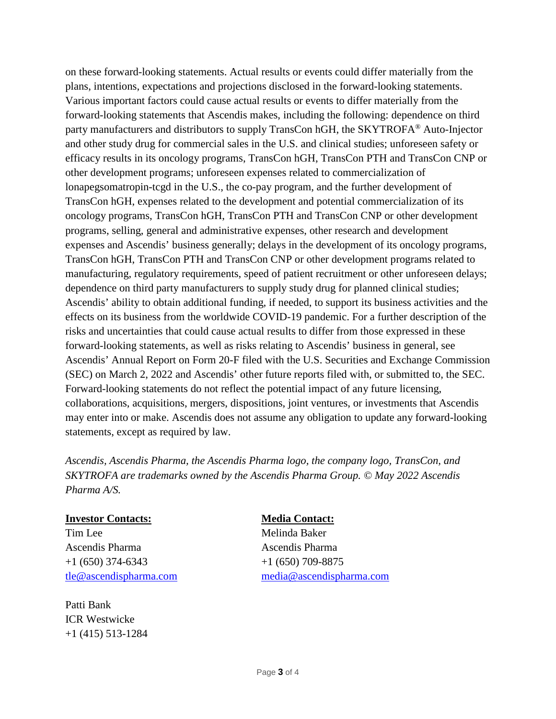on these forward-looking statements. Actual results or events could differ materially from the plans, intentions, expectations and projections disclosed in the forward-looking statements. Various important factors could cause actual results or events to differ materially from the forward-looking statements that Ascendis makes, including the following: dependence on third party manufacturers and distributors to supply TransCon hGH, the SKYTROFA® Auto-Injector and other study drug for commercial sales in the U.S. and clinical studies; unforeseen safety or efficacy results in its oncology programs, TransCon hGH, TransCon PTH and TransCon CNP or other development programs; unforeseen expenses related to commercialization of lonapegsomatropin-tcgd in the U.S., the co-pay program, and the further development of TransCon hGH, expenses related to the development and potential commercialization of its oncology programs, TransCon hGH, TransCon PTH and TransCon CNP or other development programs, selling, general and administrative expenses, other research and development expenses and Ascendis' business generally; delays in the development of its oncology programs, TransCon hGH, TransCon PTH and TransCon CNP or other development programs related to manufacturing, regulatory requirements, speed of patient recruitment or other unforeseen delays; dependence on third party manufacturers to supply study drug for planned clinical studies; Ascendis' ability to obtain additional funding, if needed, to support its business activities and the effects on its business from the worldwide COVID-19 pandemic. For a further description of the risks and uncertainties that could cause actual results to differ from those expressed in these forward-looking statements, as well as risks relating to Ascendis' business in general, see Ascendis' Annual Report on Form 20-F filed with the U.S. Securities and Exchange Commission (SEC) on March 2, 2022 and Ascendis' other future reports filed with, or submitted to, the SEC. Forward-looking statements do not reflect the potential impact of any future licensing, collaborations, acquisitions, mergers, dispositions, joint ventures, or investments that Ascendis may enter into or make. Ascendis does not assume any obligation to update any forward-looking statements, except as required by law.

*Ascendis, Ascendis Pharma, the Ascendis Pharma logo, the company logo, TransCon, and SKYTROFA are trademarks owned by the Ascendis Pharma Group. © May 2022 Ascendis Pharma A/S.* 

#### **Investor Contacts:** Media Contact:

Tim Lee Melinda Baker Ascendis Pharma **Ascendis Pharma**  $+1$  (650) 374-6343  $+1$  (650) 709-8875

Patti Bank ICR Westwicke +1 (415) 513-1284

[tle@ascendispharma.com](mailto:tle@ascendispharma.com) [media@ascendispharma.com](mailto:media@ascendispharma.com)